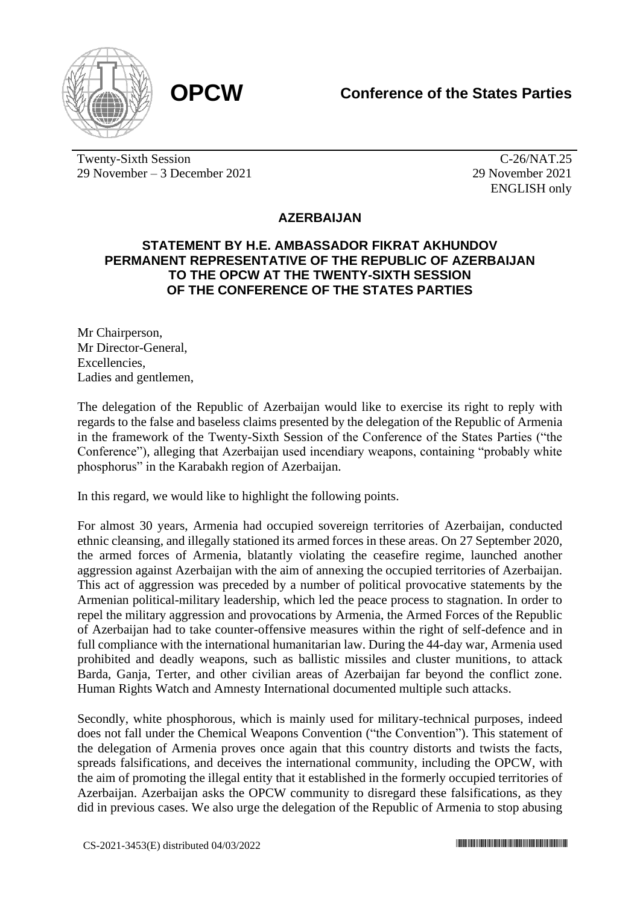



Twenty-Sixth Session 29 November – 3 December 2021

C-26/NAT.25 29 November 2021 ENGLISH only

## **AZERBAIJAN**

## **STATEMENT BY H.E. AMBASSADOR FIKRAT AKHUNDOV PERMANENT REPRESENTATIVE OF THE REPUBLIC OF AZERBAIJAN TO THE OPCW AT THE TWENTY-SIXTH SESSION OF THE CONFERENCE OF THE STATES PARTIES**

Mr Chairperson, Mr Director-General, **Excellencies** Ladies and gentlemen,

The delegation of the Republic of Azerbaijan would like to exercise its right to reply with regards to the false and baseless claims presented by the delegation of the Republic of Armenia in the framework of the Twenty-Sixth Session of the Conference of the States Parties ("the Conference"), alleging that Azerbaijan used incendiary weapons, containing "probably white phosphorus" in the Karabakh region of Azerbaijan.

In this regard, we would like to highlight the following points.

For almost 30 years, Armenia had occupied sovereign territories of Azerbaijan, conducted ethnic cleansing, and illegally stationed its armed forces in these areas. On 27 September 2020, the armed forces of Armenia, blatantly violating the ceasefire regime, launched another aggression against Azerbaijan with the aim of annexing the occupied territories of Azerbaijan. This act of aggression was preceded by a number of political provocative statements by the Armenian political-military leadership, which led the peace process to stagnation. In order to repel the military aggression and provocations by Armenia, the Armed Forces of the Republic of Azerbaijan had to take counter-offensive measures within the right of self-defence and in full compliance with the international humanitarian law. During the 44-day war, Armenia used prohibited and deadly weapons, such as ballistic missiles and cluster munitions, to attack Barda, Ganja, Terter, and other civilian areas of Azerbaijan far beyond the conflict zone. Human Rights Watch and Amnesty International documented multiple such attacks.

Secondly, white phosphorous, which is mainly used for military-technical purposes, indeed does not fall under the Chemical Weapons Convention ("the Convention"). This statement of the delegation of Armenia proves once again that this country distorts and twists the facts, spreads falsifications, and deceives the international community, including the OPCW, with the aim of promoting the illegal entity that it established in the formerly occupied territories of Azerbaijan. Azerbaijan asks the OPCW community to disregard these falsifications, as they did in previous cases. We also urge the delegation of the Republic of Armenia to stop abusing